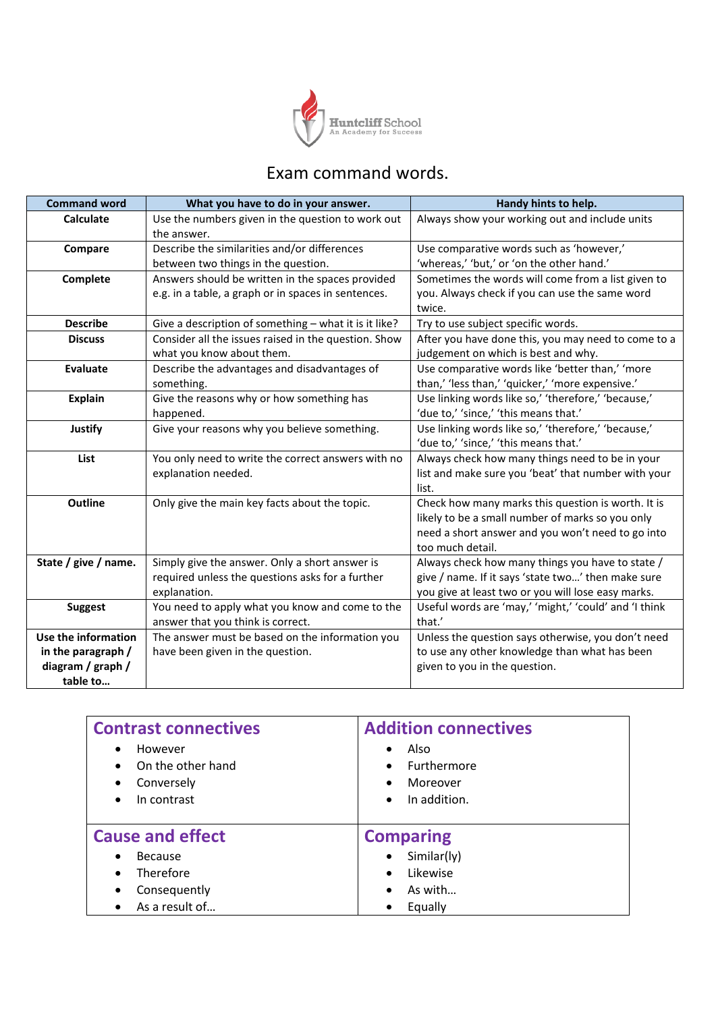

## Exam command words.

| <b>Command word</b>  | What you have to do in your answer.                              | Handy hints to help.                                  |  |
|----------------------|------------------------------------------------------------------|-------------------------------------------------------|--|
| Calculate            | Use the numbers given in the question to work out<br>the answer. | Always show your working out and include units        |  |
| Compare              | Describe the similarities and/or differences                     | Use comparative words such as 'however,'              |  |
|                      | between two things in the question.                              | 'whereas,' 'but,' or 'on the other hand.'             |  |
| Complete             | Answers should be written in the spaces provided                 | Sometimes the words will come from a list given to    |  |
|                      | e.g. in a table, a graph or in spaces in sentences.              | you. Always check if you can use the same word        |  |
|                      |                                                                  | twice.                                                |  |
| <b>Describe</b>      | Give a description of something - what it is it like?            | Try to use subject specific words.                    |  |
| <b>Discuss</b>       | Consider all the issues raised in the question. Show             | After you have done this, you may need to come to a   |  |
|                      | what you know about them.                                        | judgement on which is best and why.                   |  |
| <b>Evaluate</b>      | Describe the advantages and disadvantages of                     | Use comparative words like 'better than,' 'more       |  |
|                      | something.                                                       | than,' 'less than,' 'quicker,' 'more expensive.'      |  |
| <b>Explain</b>       | Give the reasons why or how something has                        | Use linking words like so,' 'therefore,' 'because,'   |  |
|                      | happened.                                                        | 'due to,' 'since,' 'this means that.'                 |  |
| <b>Justify</b>       | Give your reasons why you believe something.                     | Use linking words like so,' 'therefore,' 'because,'   |  |
|                      |                                                                  | 'due to,' 'since,' 'this means that.'                 |  |
| List                 | You only need to write the correct answers with no               | Always check how many things need to be in your       |  |
|                      | explanation needed.                                              | list and make sure you 'beat' that number with your   |  |
|                      |                                                                  | list.                                                 |  |
| Outline              | Only give the main key facts about the topic.                    | Check how many marks this question is worth. It is    |  |
|                      |                                                                  | likely to be a small number of marks so you only      |  |
|                      |                                                                  | need a short answer and you won't need to go into     |  |
|                      |                                                                  | too much detail.                                      |  |
| State / give / name. | Simply give the answer. Only a short answer is                   | Always check how many things you have to state /      |  |
|                      | required unless the questions asks for a further                 | give / name. If it says 'state two' then make sure    |  |
|                      | explanation.                                                     | you give at least two or you will lose easy marks.    |  |
| <b>Suggest</b>       | You need to apply what you know and come to the                  | Useful words are 'may,' 'might,' 'could' and 'I think |  |
|                      | answer that you think is correct.                                | that.'                                                |  |
| Use the information  | The answer must be based on the information you                  | Unless the question says otherwise, you don't need    |  |
| in the paragraph /   | have been given in the question.                                 | to use any other knowledge than what has been         |  |
| diagram / graph /    |                                                                  | given to you in the question.                         |  |
| table to             |                                                                  |                                                       |  |

| <b>Contrast connectives</b> | <b>Addition connectives</b> |  |
|-----------------------------|-----------------------------|--|
| However                     | Also                        |  |
| ٠                           | $\bullet$                   |  |
| On the other hand           | <b>Furthermore</b>          |  |
| ٠                           | $\bullet$                   |  |
| Conversely                  | Moreover                    |  |
| $\bullet$                   | $\bullet$                   |  |
| In contrast                 | In addition.                |  |
| $\bullet$                   | $\bullet$                   |  |
| <b>Cause and effect</b>     | <b>Comparing</b>            |  |
| Because<br>٠                | Similar(ly)                 |  |
| Therefore                   | Likewise                    |  |
| $\bullet$                   | $\bullet$                   |  |
| Consequently                | As with                     |  |
| ٠                           | $\bullet$                   |  |
| As a result of              | Equally<br>٠                |  |